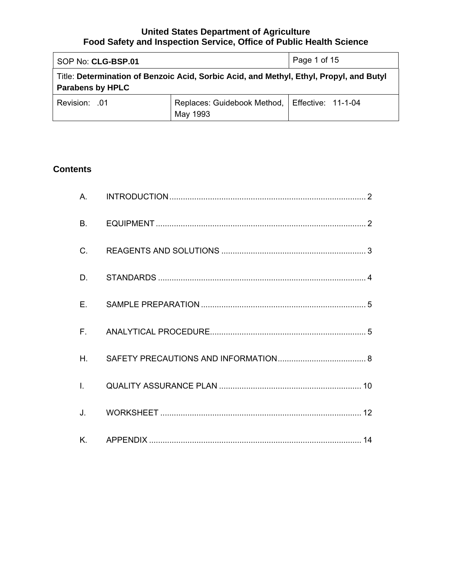| SOP No: CLG-BSP.01                                                                                                 | Page 1 of 15                                                 |  |
|--------------------------------------------------------------------------------------------------------------------|--------------------------------------------------------------|--|
| Title: Determination of Benzoic Acid, Sorbic Acid, and Methyl, Ethyl, Propyl, and Butyl<br><b>Parabens by HPLC</b> |                                                              |  |
| <b>Revision: 01</b>                                                                                                | Replaces: Guidebook Method,   Effective: 11-1-04<br>May 1993 |  |

# **Contents**

| H. |  |
|----|--|
|    |  |
|    |  |
|    |  |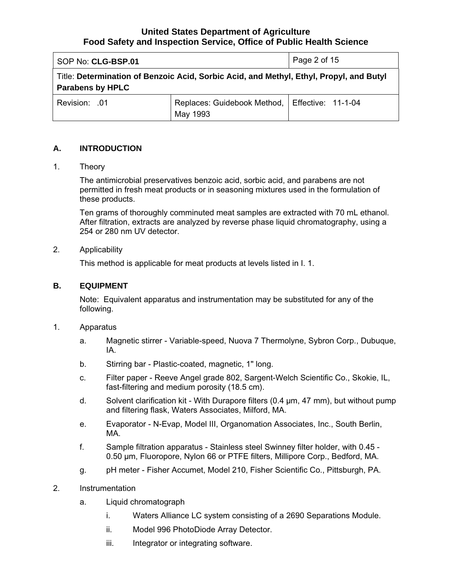<span id="page-1-0"></span>

| SOP No: CLG-BSP.01      | Page 2 of 15                                                                            |  |  |
|-------------------------|-----------------------------------------------------------------------------------------|--|--|
| <b>Parabens by HPLC</b> | Title: Determination of Benzoic Acid, Sorbic Acid, and Methyl, Ethyl, Propyl, and Butyl |  |  |
| <b>Revision: .01</b>    | Replaces: Guidebook Method,   Effective: 11-1-04<br>May 1993                            |  |  |

# **A. INTRODUCTION**

#### 1. Theory

The antimicrobial preservatives benzoic acid, sorbic acid, and parabens are not permitted in fresh meat products or in seasoning mixtures used in the formulation of these products.

Ten grams of thoroughly comminuted meat samples are extracted with 70 mL ethanol. After filtration, extracts are analyzed by reverse phase liquid chromatography, using a 254 or 280 nm UV detector.

#### 2. Applicability

This method is applicable for meat products at levels listed in I. 1.

#### **B. EQUIPMENT**

Note: Equivalent apparatus and instrumentation may be substituted for any of the following.

- 1. Apparatus
	- a. Magnetic stirrer Variable-speed, Nuova 7 Thermolyne, Sybron Corp., Dubuque, IA.
	- b. Stirring bar Plastic-coated, magnetic, 1" long.
	- c. Filter paper Reeve Angel grade 802, Sargent-Welch Scientific Co., Skokie, IL, fast-filtering and medium porosity (18.5 cm).
	- d. Solvent clarification kit With Durapore filters (0.4 µm, 47 mm), but without pump and filtering flask, Waters Associates, Milford, MA.
	- e. Evaporator N-Evap, Model III, Organomation Associates, Inc., South Berlin, MA.
	- f. Sample filtration apparatus Stainless steel Swinney filter holder, with 0.45 0.50 µm, Fluoropore, Nylon 66 or PTFE filters, Millipore Corp., Bedford, MA.
	- g. pH meter Fisher Accumet, Model 210, Fisher Scientific Co., Pittsburgh, PA.

## 2. Instrumentation

- a. Liquid chromatograph
	- i. Waters Alliance LC system consisting of a 2690 Separations Module.
	- ii. Model 996 PhotoDiode Array Detector.
	- iii. Integrator or integrating software.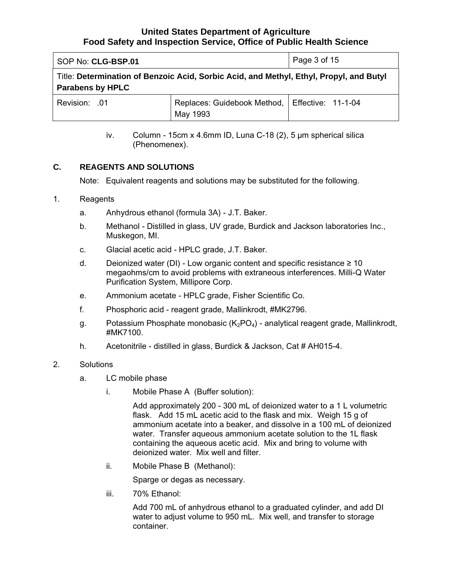<span id="page-2-0"></span>

| SOP No: CLG-BSP.01      | Page 3 of 15                                                                            |  |  |
|-------------------------|-----------------------------------------------------------------------------------------|--|--|
| <b>Parabens by HPLC</b> | Title: Determination of Benzoic Acid, Sorbic Acid, and Methyl, Ethyl, Propyl, and Butyl |  |  |
| <b>Revision: .01</b>    | Replaces: Guidebook Method,   Effective: 11-1-04<br>May 1993                            |  |  |

iv. Column - 15cm x 4.6mm ID, Luna C-18 (2), 5 µm spherical silica (Phenomenex).

## **C. REAGENTS AND SOLUTIONS**

Note: Equivalent reagents and solutions may be substituted for the following.

#### 1. Reagents

- a. Anhydrous ethanol (formula 3A) J.T. Baker.
- b. Methanol Distilled in glass, UV grade, Burdick and Jackson laboratories Inc., Muskegon, MI.
- c. Glacial acetic acid HPLC grade, J.T. Baker.
- d. Deionized water (DI) Low organic content and specific resistance  $\geq 10$ megaohms/cm to avoid problems with extraneous interferences. Milli-Q Water Purification System, Millipore Corp.
- e. Ammonium acetate HPLC grade, Fisher Scientific Co.
- f. Phosphoric acid reagent grade, Mallinkrodt, #MK2796.
- g. Potassium Phosphate monobasic  $(K_2PO_4)$  analytical reagent grade, Mallinkrodt, #MK7100.
- h. Acetonitrile distilled in glass, Burdick & Jackson, Cat # AH015-4.

#### 2. Solutions

- a. LC mobile phase
	- i. Mobile Phase A (Buffer solution):

Add approximately 200 - 300 mL of deionized water to a 1 L volumetric flask. Add 15 mL acetic acid to the flask and mix. Weigh 15 g of ammonium acetate into a beaker, and dissolve in a 100 mL of deionized water. Transfer aqueous ammonium acetate solution to the 1L flask containing the aqueous acetic acid. Mix and bring to volume with deionized water. Mix well and filter.

ii. Mobile Phase B (Methanol):

Sparge or degas as necessary.

iii. 70% Ethanol:

Add 700 mL of anhydrous ethanol to a graduated cylinder, and add DI water to adjust volume to 950 mL. Mix well, and transfer to storage container.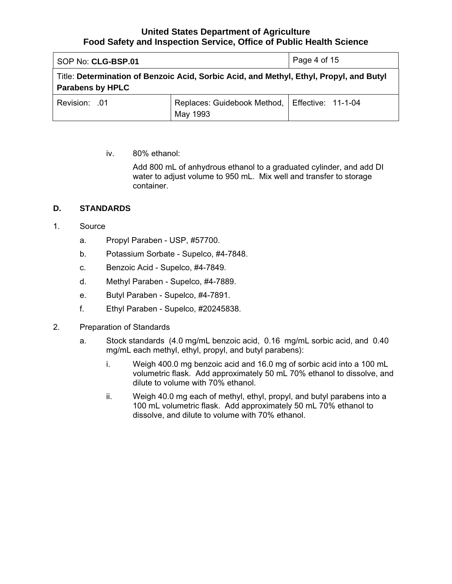<span id="page-3-0"></span>

| SOP No: CLG-BSP.01      | Page 4 of 15                                                                            |  |  |
|-------------------------|-----------------------------------------------------------------------------------------|--|--|
| <b>Parabens by HPLC</b> | Title: Determination of Benzoic Acid, Sorbic Acid, and Methyl, Ethyl, Propyl, and Butyl |  |  |
| Revision: .01           | Replaces: Guidebook Method,   Effective: 11-1-04<br>May 1993                            |  |  |

iv. 80% ethanol:

Add 800 mL of anhydrous ethanol to a graduated cylinder, and add DI water to adjust volume to 950 mL. Mix well and transfer to storage container.

# **D. STANDARDS**

- 1. Source
	- a. Propyl Paraben USP, #57700.
	- b. Potassium Sorbate Supelco, #4-7848.
	- c. Benzoic Acid Supelco, #4-7849.
	- d. Methyl Paraben Supelco, #4-7889.
	- e. Butyl Paraben Supelco, #4-7891.
	- f. Ethyl Paraben Supelco, #20245838.
- 2. Preparation of Standards
	- a. Stock standards (4.0 mg/mL benzoic acid, 0.16 mg/mL sorbic acid, and 0.40 mg/mL each methyl, ethyl, propyl, and butyl parabens):
		- i. Weigh 400.0 mg benzoic acid and 16.0 mg of sorbic acid into a 100 mL volumetric flask. Add approximately 50 mL 70% ethanol to dissolve, and dilute to volume with 70% ethanol.
		- ii. Weigh 40.0 mg each of methyl, ethyl, propyl, and butyl parabens into a 100 mL volumetric flask. Add approximately 50 mL 70% ethanol to dissolve, and dilute to volume with 70% ethanol.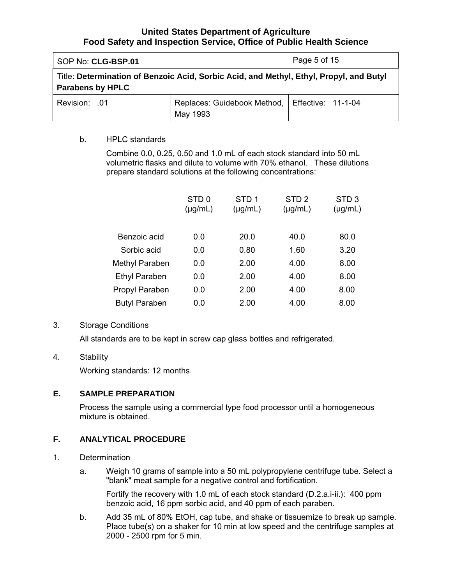<span id="page-4-0"></span>

| SOP No: CLG-BSP.01      | Page 5 of 15                                                                            |  |  |
|-------------------------|-----------------------------------------------------------------------------------------|--|--|
| <b>Parabens by HPLC</b> | Title: Determination of Benzoic Acid, Sorbic Acid, and Methyl, Ethyl, Propyl, and Butyl |  |  |
| Revision: .01           | Replaces: Guidebook Method,   Effective: 11-1-04<br>May 1993                            |  |  |

#### b. HPLC standards

Combine 0.0, 0.25, 0.50 and 1.0 mL of each stock standard into 50 mL volumetric flasks and dilute to volume with 70% ethanol. These dilutions prepare standard solutions at the following concentrations:

|                      | STD <sub>0</sub><br>$(\mu g/mL)$ | STD <sub>1</sub><br>$(\mu g/mL)$ | STD <sub>2</sub><br>$(\mu g/mL)$ | STD <sub>3</sub><br>$(\mu g/mL)$ |
|----------------------|----------------------------------|----------------------------------|----------------------------------|----------------------------------|
| Benzoic acid         | 0.0                              | 20.0                             | 40.0                             | 80.0                             |
| Sorbic acid          | 0.0                              | 0.80                             | 1.60                             | 3.20                             |
| Methyl Paraben       | 0.0                              | 2.00                             | 4.00                             | 8.00                             |
| <b>Ethyl Paraben</b> | 0.0                              | 2.00                             | 4.00                             | 8.00                             |
| Propyl Paraben       | 0.0                              | 2.00                             | 4.00                             | 8.00                             |
| <b>Butyl Paraben</b> | 0.0                              | 2.00                             | 4.00                             | 8.00                             |
|                      |                                  |                                  |                                  |                                  |

#### 3. Storage Conditions

All standards are to be kept in screw cap glass bottles and refrigerated.

## 4. Stability

Working standards: 12 months.

#### **E. SAMPLE PREPARATION**

Process the sample using a commercial type food processor until a homogeneous mixture is obtained.

#### **F. ANALYTICAL PROCEDURE**

- 1. Determination
	- a. Weigh 10 grams of sample into a 50 mL polypropylene centrifuge tube. Select a "blank" meat sample for a negative control and fortification.

Fortify the recovery with 1.0 mL of each stock standard (D.2.a.i-ii.): 400 ppm benzoic acid, 16 ppm sorbic acid, and 40 ppm of each paraben.

b. Add 35 mL of 80% EtOH, cap tube, and shake or tissuemize to break up sample. Place tube(s) on a shaker for 10 min at low speed and the centrifuge samples at 2000 - 2500 rpm for 5 min.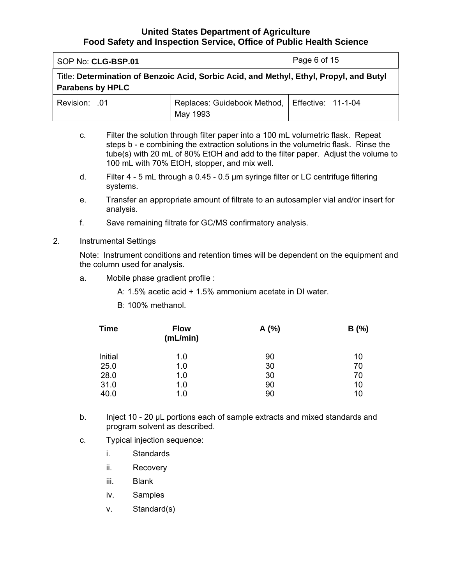SOP No: **CLG-BSP.01** Page 6 of 15

Title: **Determination of Benzoic Acid, Sorbic Acid, and Methyl, Ethyl, Propyl, and Butyl Parabens by HPLC** 

| Revision: .01 | Replaces: Guidebook Method,   Effective: 11-1-04 |  |
|---------------|--------------------------------------------------|--|
|               | May 1993                                         |  |

- c. Filter the solution through filter paper into a 100 mL volumetric flask. Repeat steps b - e combining the extraction solutions in the volumetric flask. Rinse the tube(s) with 20 mL of 80% EtOH and add to the filter paper. Adjust the volume to 100 mL with 70% EtOH, stopper, and mix well.
- d. Filter 4 5 mL through a 0.45 0.5 μm syringe filter or LC centrifuge filtering systems.
- e. Transfer an appropriate amount of filtrate to an autosampler vial and/or insert for analysis.
- f. Save remaining filtrate for GC/MS confirmatory analysis.

### 2. Instrumental Settings

Note: Instrument conditions and retention times will be dependent on the equipment and the column used for analysis.

a. Mobile phase gradient profile :

A: 1.5% acetic acid + 1.5% ammonium acetate in DI water.

B: 100% methanol.

| <b>Time</b> | <b>Flow</b><br>(mL/min) | A(%) | B(%) |
|-------------|-------------------------|------|------|
| Initial     | 1.0                     | 90   | 10   |
| 25.0        | 1.0                     | 30   | 70   |
| 28.0        | 1.0                     | 30   | 70   |
| 31.0        | 1.0                     | 90   | 10   |
| 40.0        | 1.0                     | 90   | 10   |

- b. Inject 10 20 µL portions each of sample extracts and mixed standards and program solvent as described.
- c. Typical injection sequence:
	- i. Standards
	- ii. Recovery
	- iii. Blank
	- iv. Samples
	- v. Standard(s)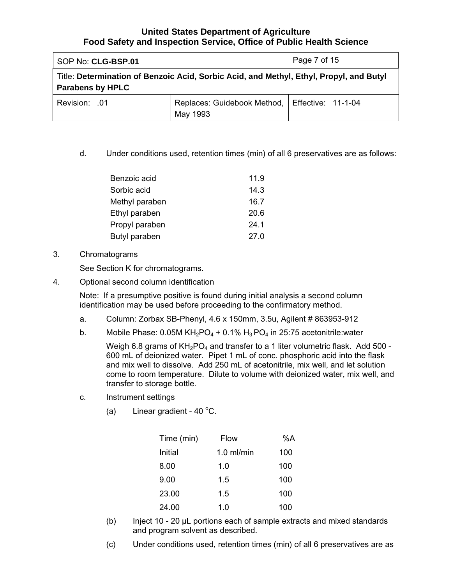| SOP No: CLG-BSP.01                                                                                                 | Page 7 of 15                                                 |  |
|--------------------------------------------------------------------------------------------------------------------|--------------------------------------------------------------|--|
| Title: Determination of Benzoic Acid, Sorbic Acid, and Methyl, Ethyl, Propyl, and Butyl<br><b>Parabens by HPLC</b> |                                                              |  |
| Revision: .01                                                                                                      | Replaces: Guidebook Method,   Effective: 11-1-04<br>May 1993 |  |

d. Under conditions used, retention times (min) of all 6 preservatives are as follows:

| Benzoic acid   | 11.9 |
|----------------|------|
| Sorbic acid    | 14.3 |
| Methyl paraben | 16.7 |
| Ethyl paraben  | 20.6 |
| Propyl paraben | 24.1 |
| Butyl paraben  | 27.0 |

#### 3. Chromatograms

See Section K for chromatograms.

4. Optional second column identification

Note: If a presumptive positive is found during initial analysis a second column identification may be used before proceeding to the confirmatory method.

- a. Column: Zorbax SB-Phenyl, 4.6 x 150mm, 3.5u, Agilent # 863953-912
- b. Mobile Phase:  $0.05M KH<sub>2</sub>PO<sub>4</sub> + 0.1% H<sub>3</sub>PO<sub>4</sub>$  in 25:75 acetonitrile:water

Weigh 6.8 grams of  $KH_2PO_4$  and transfer to a 1 liter volumetric flask. Add 500 -600 mL of deionized water. Pipet 1 mL of conc. phosphoric acid into the flask and mix well to dissolve. Add 250 mL of acetonitrile, mix well, and let solution come to room temperature. Dilute to volume with deionized water, mix well, and transfer to storage bottle.

- c. Instrument settings
	- (a) Linear gradient  $40^{\circ}$ C.

| Time (min) | Flow         | %A  |
|------------|--------------|-----|
| Initial    | $1.0$ ml/min | 100 |
| 8.00       | 1.0          | 100 |
| 9.00       | 1.5          | 100 |
| 23.00      | 1.5          | 100 |
| 24.00      | 1.0          | 100 |

- (b) Inject 10 20 µL portions each of sample extracts and mixed standards and program solvent as described.
- (c) Under conditions used, retention times (min) of all 6 preservatives are as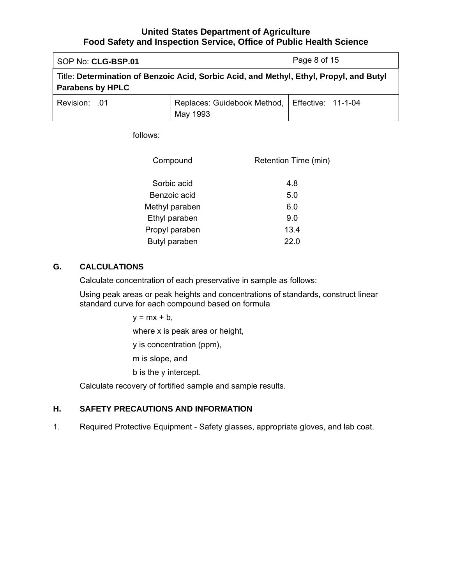<span id="page-7-0"></span>

| SOP No: CLG-BSP.01      | Page 8 of 15                                                                            |  |
|-------------------------|-----------------------------------------------------------------------------------------|--|
| <b>Parabens by HPLC</b> | Title: Determination of Benzoic Acid, Sorbic Acid, and Methyl, Ethyl, Propyl, and Butyl |  |
| Revision: .01           | Replaces: Guidebook Method,   Effective: 11-1-04<br>May 1993                            |  |

follows:

| Compound       | Retention Time (min) |
|----------------|----------------------|
| Sorbic acid    | 4.8                  |
| Benzoic acid   | 5.0                  |
| Methyl paraben | 6.0                  |
| Ethyl paraben  | 9.0                  |
| Propyl paraben | 13.4                 |
| Butyl paraben  | 22 O                 |

## **G. CALCULATIONS**

Calculate concentration of each preservative in sample as follows:

Using peak areas or peak heights and concentrations of standards, construct linear standard curve for each compound based on formula

 $y = mx + b$ ,

where x is peak area or height,

y is concentration (ppm),

m is slope, and

b is the y intercept.

Calculate recovery of fortified sample and sample results.

#### **H. SAFETY PRECAUTIONS AND INFORMATION**

1. Required Protective Equipment - Safety glasses, appropriate gloves, and lab coat.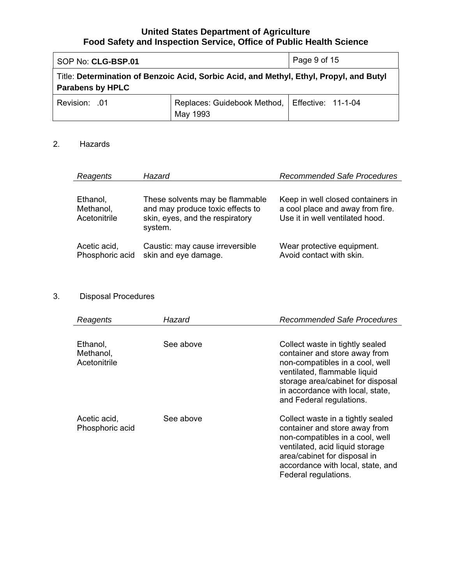| SOP No: CLG-BSP.01      |                                                                                         | Page 9 of 15 |
|-------------------------|-----------------------------------------------------------------------------------------|--------------|
| <b>Parabens by HPLC</b> | Title: Determination of Benzoic Acid, Sorbic Acid, and Methyl, Ethyl, Propyl, and Butyl |              |
| Revision: .01           | Replaces: Guidebook Method,   Effective: 11-1-04<br>May 1993                            |              |

# 2. Hazards

| Reagents                              | Hazard                                                                                                            | <b>Recommended Safe Procedures</b>                                                                       |
|---------------------------------------|-------------------------------------------------------------------------------------------------------------------|----------------------------------------------------------------------------------------------------------|
| Ethanol,<br>Methanol,<br>Acetonitrile | These solvents may be flammable<br>and may produce toxic effects to<br>skin, eyes, and the respiratory<br>system. | Keep in well closed containers in<br>a cool place and away from fire.<br>Use it in well ventilated hood. |
| Acetic acid,<br>Phosphoric acid       | Caustic: may cause irreversible<br>skin and eye damage.                                                           | Wear protective equipment.<br>Avoid contact with skin.                                                   |

# 3. Disposal Procedures

| Reagents                              | Hazard    | <b>Recommended Safe Procedures</b>                                                                                                                                                                                                       |
|---------------------------------------|-----------|------------------------------------------------------------------------------------------------------------------------------------------------------------------------------------------------------------------------------------------|
|                                       |           |                                                                                                                                                                                                                                          |
| Ethanol,<br>Methanol,<br>Acetonitrile | See above | Collect waste in tightly sealed<br>container and store away from<br>non-compatibles in a cool, well<br>ventilated, flammable liquid<br>storage area/cabinet for disposal<br>in accordance with local, state,<br>and Federal regulations. |
| Acetic acid,<br>Phosphoric acid       | See above | Collect waste in a tightly sealed<br>container and store away from<br>non-compatibles in a cool, well<br>ventilated, acid liquid storage<br>area/cabinet for disposal in<br>accordance with local, state, and<br>Federal regulations.    |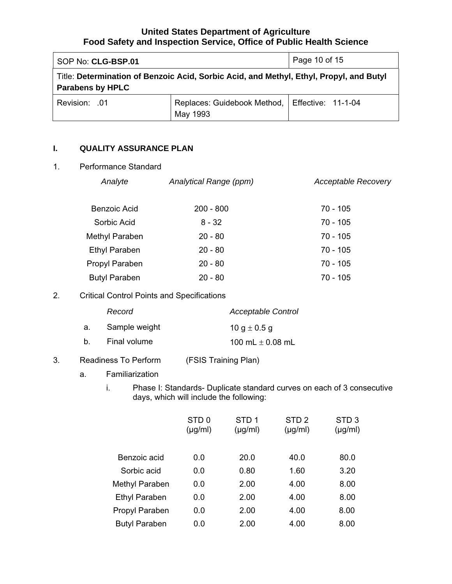<span id="page-9-0"></span>

| SOP No: CLG-BSP.01      |                                                                                         | Page 10 of 15 |
|-------------------------|-----------------------------------------------------------------------------------------|---------------|
| <b>Parabens by HPLC</b> | Title: Determination of Benzoic Acid, Sorbic Acid, and Methyl, Ethyl, Propyl, and Butyl |               |
| <b>Revision: .01</b>    | Replaces: Guidebook Method,   Effective: 11-1-04<br>May 1993                            |               |

#### **I. QUALITY ASSURANCE PLAN**

# 1. Performance Standard

| Analyte              | Analytical Range (ppm) | <b>Acceptable Recovery</b> |
|----------------------|------------------------|----------------------------|
| Benzoic Acid         | $200 - 800$            | 70 - 105                   |
| Sorbic Acid          | $8 - 32$               | 70 - 105                   |
| Methyl Paraben       | $20 - 80$              | 70 - 105                   |
| <b>Ethyl Paraben</b> | $20 - 80$              | 70 - 105                   |
| Propyl Paraben       | $20 - 80$              | $70 - 105$                 |
| <b>Butyl Paraben</b> | $20 - 80$              | 70 - 105                   |

# 2. Critical Control Points and Specifications

|                | Record        | <b>Acceptable Control</b> |
|----------------|---------------|---------------------------|
| а.             | Sample weight | 10 g $\pm$ 0.5 g          |
| b <sub>1</sub> | Final volume  | 100 mL $\pm$ 0.08 mL      |

# 3. Readiness To Perform (FSIS Training Plan)

a. Familiarization

i. Phase I: Standards- Duplicate standard curves on each of 3 consecutive days, which will include the following:

|                      | STD <sub>0</sub><br>$(\mu g/ml)$ | STD <sub>1</sub><br>$(\mu g/ml)$ | STD <sub>2</sub><br>$(\mu g/ml)$ | STD <sub>3</sub><br>$(\mu g/ml)$ |
|----------------------|----------------------------------|----------------------------------|----------------------------------|----------------------------------|
| Benzoic acid         | 0.0                              | 20.0                             | 40.0                             | 80.0                             |
| Sorbic acid          | 0.0                              | 0.80                             | 1.60                             | 3.20                             |
| Methyl Paraben       | 0.0                              | 2.00                             | 4.00                             | 8.00                             |
| <b>Ethyl Paraben</b> | 0.0                              | 2.00                             | 4.00                             | 8.00                             |
| Propyl Paraben       | 0.0                              | 2.00                             | 4.00                             | 8.00                             |
| <b>Butyl Paraben</b> | 0.0                              | 2.00                             | 4.00                             | 8.00                             |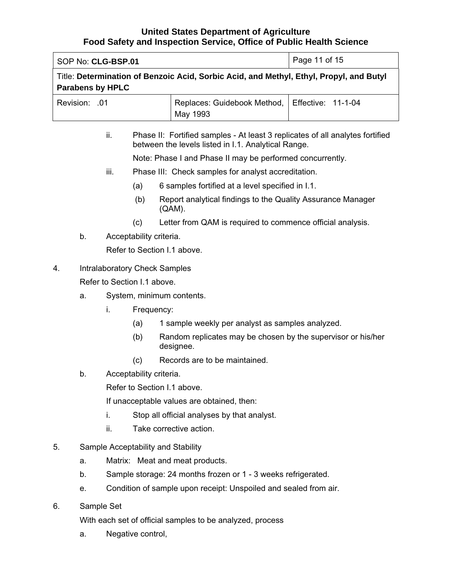| SOP No: CLG-BSP.01      | Page 11 of 15                                                                           |  |
|-------------------------|-----------------------------------------------------------------------------------------|--|
| <b>Parabens by HPLC</b> | Title: Determination of Benzoic Acid, Sorbic Acid, and Methyl, Ethyl, Propyl, and Butyl |  |
| <b>Revision: .01</b>    | Replaces: Guidebook Method,   Effective: 11-1-04<br>May 1993                            |  |

ii. Phase II: Fortified samples - At least 3 replicates of all analytes fortified between the levels listed in I.1. Analytical Range.

Note: Phase I and Phase II may be performed concurrently.

- iii. Phase III: Check samples for analyst accreditation.
	- (a) 6 samples fortified at a level specified in I.1.
	- (b) Report analytical findings to the Quality Assurance Manager (QAM).
	- (c) Letter from QAM is required to commence official analysis.
- b. Acceptability criteria.

Refer to Section I.1 above.

4. Intralaboratory Check Samples

Refer to Section I.1 above.

- a. System, minimum contents.
	- i. Frequency:
		- (a) 1 sample weekly per analyst as samples analyzed.
		- (b) Random replicates may be chosen by the supervisor or his/her designee.
		- (c) Records are to be maintained.
- b. Acceptability criteria.

Refer to Section I.1 above.

If unacceptable values are obtained, then:

- i. Stop all official analyses by that analyst.
- ii. Take corrective action.
- 5. Sample Acceptability and Stability
	- a. Matrix: Meat and meat products.
	- b. Sample storage: 24 months frozen or 1 3 weeks refrigerated.
	- e. Condition of sample upon receipt: Unspoiled and sealed from air.
- 6. Sample Set

With each set of official samples to be analyzed, process

a. Negative control,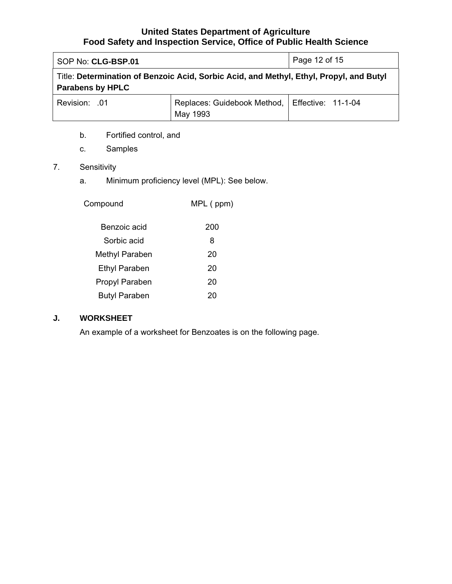<span id="page-11-0"></span>

| SOP No: CLG-BSP.01      | Page 12 of 15                                                                           |  |
|-------------------------|-----------------------------------------------------------------------------------------|--|
| <b>Parabens by HPLC</b> | Title: Determination of Benzoic Acid, Sorbic Acid, and Methyl, Ethyl, Propyl, and Butyl |  |
| Revision: .01           | Replaces: Guidebook Method,   Effective: 11-1-04<br>May 1993                            |  |

- b. Fortified control, and
- c. Samples

# 7. Sensitivity

a. Minimum proficiency level (MPL): See below.

| Compound             | MPL (ppm) |
|----------------------|-----------|
| Benzoic acid         | 200       |
| Sorbic acid          | 8         |
| Methyl Paraben       | 20        |
| <b>Ethyl Paraben</b> | 20        |
| Propyl Paraben       | 20        |
| <b>Butyl Paraben</b> |           |

# **J. WORKSHEET**

An example of a worksheet for Benzoates is on the following page.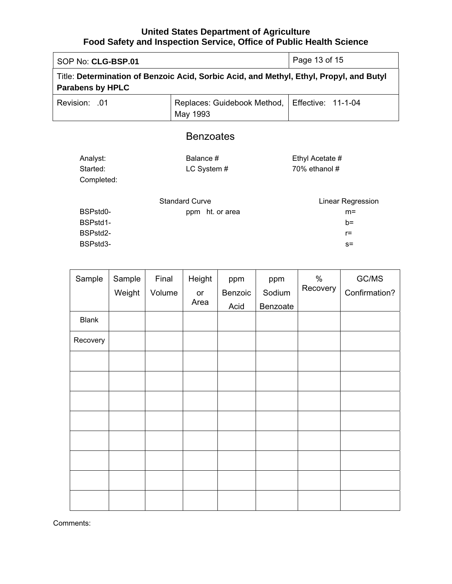| SOP No: CLG-BSP.01                                                                                                 | Page 13 of 15                           |                                                     |  |  |
|--------------------------------------------------------------------------------------------------------------------|-----------------------------------------|-----------------------------------------------------|--|--|
| Title: Determination of Benzoic Acid, Sorbic Acid, and Methyl, Ethyl, Propyl, and Butyl<br><b>Parabens by HPLC</b> |                                         |                                                     |  |  |
| <b>Revision: .01</b>                                                                                               | Replaces: Guidebook Method,<br>May 1993 | <b>Effective: 11-1-04</b>                           |  |  |
| <b>Benzoates</b>                                                                                                   |                                         |                                                     |  |  |
| Analyst:<br>Started:<br>Completed:                                                                                 | Balance #<br>LC System #                | Ethyl Acetate #<br>70% ethanol#                     |  |  |
| <b>Standard Curve</b><br>BSPstd0-<br>ppm ht. or area<br>BSPstd1-<br>BSPstd2-<br>BSPstd3-                           |                                         | Linear Regression<br>$m=$<br>$h=$<br>$r =$<br>$S =$ |  |  |
|                                                                                                                    |                                         |                                                     |  |  |

| Sample       | Sample<br>Weight | Final<br>Volume | Height<br>$\mathop{\mathsf{or}}$ | ppm<br>Benzoic | ppm<br>Sodium | $\%$<br>Recovery | GC/MS<br>Confirmation? |
|--------------|------------------|-----------------|----------------------------------|----------------|---------------|------------------|------------------------|
|              |                  |                 | Area                             | Acid           | Benzoate      |                  |                        |
| <b>Blank</b> |                  |                 |                                  |                |               |                  |                        |
| Recovery     |                  |                 |                                  |                |               |                  |                        |
|              |                  |                 |                                  |                |               |                  |                        |
|              |                  |                 |                                  |                |               |                  |                        |
|              |                  |                 |                                  |                |               |                  |                        |
|              |                  |                 |                                  |                |               |                  |                        |
|              |                  |                 |                                  |                |               |                  |                        |
|              |                  |                 |                                  |                |               |                  |                        |
|              |                  |                 |                                  |                |               |                  |                        |
|              |                  |                 |                                  |                |               |                  |                        |

Comments: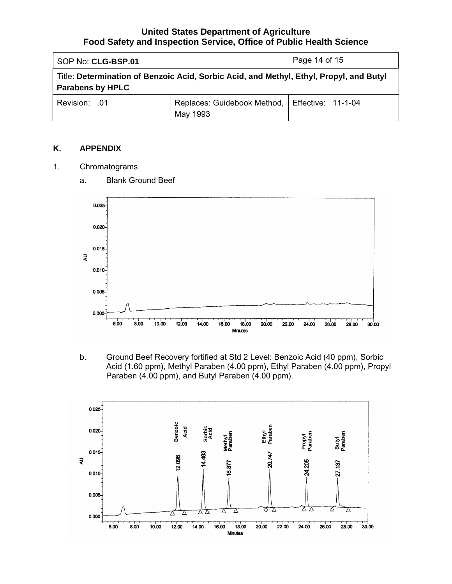<span id="page-13-0"></span>

| SOP No: CLG-BSP.01                                                                                                 | Page 14 of 15                                                |  |  |  |
|--------------------------------------------------------------------------------------------------------------------|--------------------------------------------------------------|--|--|--|
| Title: Determination of Benzoic Acid, Sorbic Acid, and Methyl, Ethyl, Propyl, and Butyl<br><b>Parabens by HPLC</b> |                                                              |  |  |  |
| Revision: .01                                                                                                      | Replaces: Guidebook Method,   Effective: 11-1-04<br>May 1993 |  |  |  |

## **K. APPENDIX**

1. Chromatograms



a. Blank Ground Beef

b. Ground Beef Recovery fortified at Std 2 Level: Benzoic Acid (40 ppm), Sorbic Acid (1.60 ppm), Methyl Paraben (4.00 ppm), Ethyl Paraben (4.00 ppm), Propyl Paraben (4.00 ppm), and Butyl Paraben (4.00 ppm).